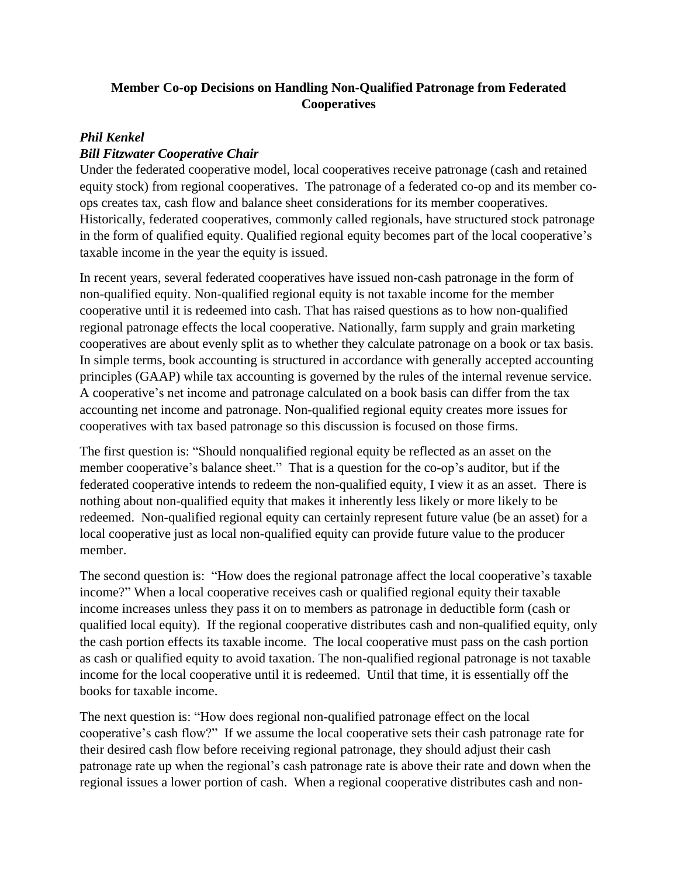## **Member Co-op Decisions on Handling Non-Qualified Patronage from Federated Cooperatives**

## *Phil Kenkel*

## *Bill Fitzwater Cooperative Chair*

Under the federated cooperative model, local cooperatives receive patronage (cash and retained equity stock) from regional cooperatives. The patronage of a federated co-op and its member coops creates tax, cash flow and balance sheet considerations for its member cooperatives. Historically, federated cooperatives, commonly called regionals, have structured stock patronage in the form of qualified equity. Qualified regional equity becomes part of the local cooperative's taxable income in the year the equity is issued.

In recent years, several federated cooperatives have issued non-cash patronage in the form of non-qualified equity. Non-qualified regional equity is not taxable income for the member cooperative until it is redeemed into cash. That has raised questions as to how non-qualified regional patronage effects the local cooperative. Nationally, farm supply and grain marketing cooperatives are about evenly split as to whether they calculate patronage on a book or tax basis. In simple terms, book accounting is structured in accordance with generally accepted accounting principles (GAAP) while tax accounting is governed by the rules of the internal revenue service. A cooperative's net income and patronage calculated on a book basis can differ from the tax accounting net income and patronage. Non-qualified regional equity creates more issues for cooperatives with tax based patronage so this discussion is focused on those firms.

The first question is: "Should nonqualified regional equity be reflected as an asset on the member cooperative's balance sheet." That is a question for the co-op's auditor, but if the federated cooperative intends to redeem the non-qualified equity, I view it as an asset. There is nothing about non-qualified equity that makes it inherently less likely or more likely to be redeemed. Non-qualified regional equity can certainly represent future value (be an asset) for a local cooperative just as local non-qualified equity can provide future value to the producer member.

The second question is: "How does the regional patronage affect the local cooperative's taxable income?" When a local cooperative receives cash or qualified regional equity their taxable income increases unless they pass it on to members as patronage in deductible form (cash or qualified local equity). If the regional cooperative distributes cash and non-qualified equity, only the cash portion effects its taxable income. The local cooperative must pass on the cash portion as cash or qualified equity to avoid taxation. The non-qualified regional patronage is not taxable income for the local cooperative until it is redeemed. Until that time, it is essentially off the books for taxable income.

The next question is: "How does regional non-qualified patronage effect on the local cooperative's cash flow?" If we assume the local cooperative sets their cash patronage rate for their desired cash flow before receiving regional patronage, they should adjust their cash patronage rate up when the regional's cash patronage rate is above their rate and down when the regional issues a lower portion of cash. When a regional cooperative distributes cash and non